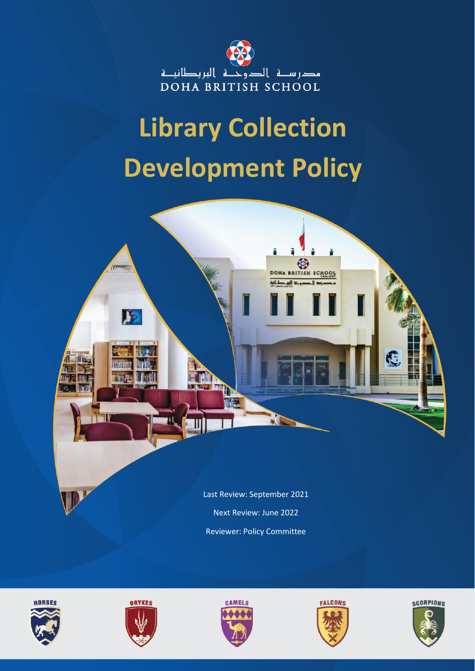

## **Library Collection Development Policy**











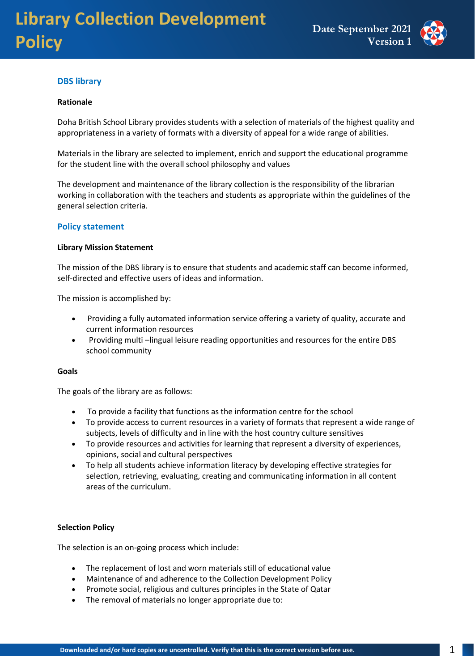

#### **DBS library**

#### **Rationale**

Doha British School Library provides students with a selection of materials of the highest quality and appropriateness in a variety of formats with a diversity of appeal for a wide range of abilities.

Materials in the library are selected to implement, enrich and support the educational programme for the student line with the overall school philosophy and values

The development and maintenance of the library collection is the responsibility of the librarian working in collaboration with the teachers and students as appropriate within the guidelines of the general selection criteria.

#### **Policy statement**

#### **Library Mission Statement**

The mission of the DBS library is to ensure that students and academic staff can become informed, self-directed and effective users of ideas and information.

The mission is accomplished by:

- Providing a fully automated information service offering a variety of quality, accurate and current information resources
- Providing multi –lingual leisure reading opportunities and resources for the entire DBS school community

#### **Goals**

The goals of the library are as follows:

- To provide a facility that functions as the information centre for the school
- To provide access to current resources in a variety of formats that represent a wide range of subjects, levels of difficulty and in line with the host country culture sensitives
- To provide resources and activities for learning that represent a diversity of experiences, opinions, social and cultural perspectives
- To help all students achieve information literacy by developing effective strategies for selection, retrieving, evaluating, creating and communicating information in all content areas of the curriculum.

#### **Selection Policy**

The selection is an on-going process which include:

- The replacement of lost and worn materials still of educational value
- Maintenance of and adherence to the Collection Development Policy
- Promote social, religious and cultures principles in the State of Qatar
- The removal of materials no longer appropriate due to: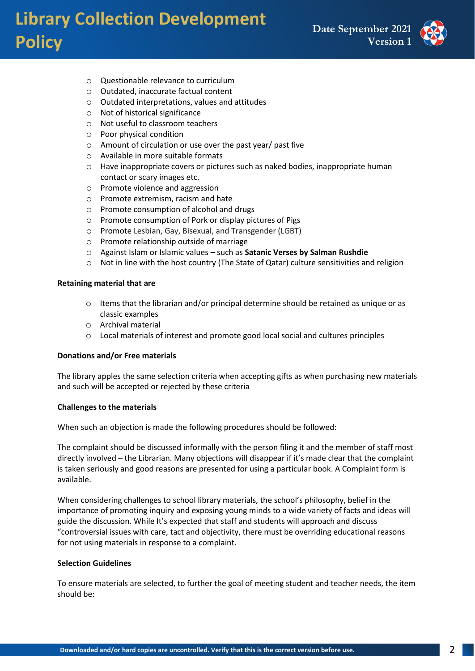### **Library Collection Development Policy**



- o Questionable relevance to curriculum
- o Outdated, inaccurate factual content
- o Outdated interpretations, values and attitudes
- o Not of historical significance
- o Not useful to classroom teachers
- o Poor physical condition
- o Amount of circulation or use over the past year/ past five
- o Available in more suitable formats
- o Have inappropriate covers or pictures such as naked bodies, inappropriate human contact or scary images etc.
- o Promote violence and aggression
- o Promote extremism, racism and hate
- o Promote consumption of alcohol and drugs
- o Promote consumption of Pork or display pictures of Pigs
- o Promote Lesbian, Gay, Bisexual, and Transgender (LGBT)
- o Promote relationship outside of marriage
- o Against Islam or Islamic values such as **Satanic Verses by Salman Rushdie**
- o Not in line with the host country (The State of Qatar) culture sensitivities and religion

#### **Retaining material that are**

- o Items that the librarian and/or principal determine should be retained as unique or as classic examples
- o Archival material
- o Local materials of interest and promote good local social and cultures principles

#### **Donations and/or Free materials**

The library apples the same selection criteria when accepting gifts as when purchasing new materials and such will be accepted or rejected by these criteria

#### **Challenges to the materials**

When such an objection is made the following procedures should be followed:

The complaint should be discussed informally with the person filing it and the member of staff most directly involved – the Librarian. Many objections will disappear if it's made clear that the complaint is taken seriously and good reasons are presented for using a particular book. A Complaint form is available.

When considering challenges to school library materials, the school's philosophy, belief in the importance of promoting inquiry and exposing young minds to a wide variety of facts and ideas will guide the discussion. While It's expected that staff and students will approach and discuss "controversial issues with care, tact and objectivity, there must be overriding educational reasons for not using materials in response to a complaint.

#### **Selection Guidelines**

To ensure materials are selected, to further the goal of meeting student and teacher needs, the item should be: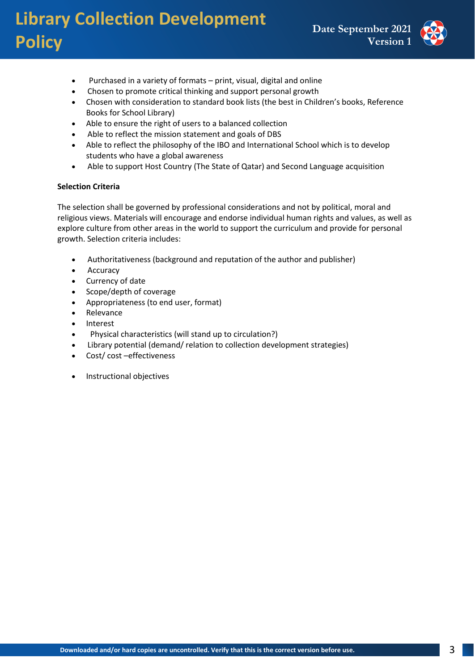## **Library Collection Development Policy**



- Purchased in a variety of formats print, visual, digital and online
- Chosen to promote critical thinking and support personal growth
- Chosen with consideration to standard book lists (the best in Children's books, Reference Books for School Library)
- Able to ensure the right of users to a balanced collection
- Able to reflect the mission statement and goals of DBS
- Able to reflect the philosophy of the IBO and International School which is to develop students who have a global awareness
- Able to support Host Country (The State of Qatar) and Second Language acquisition

#### **Selection Criteria**

The selection shall be governed by professional considerations and not by political, moral and religious views. Materials will encourage and endorse individual human rights and values, as well as explore culture from other areas in the world to support the curriculum and provide for personal growth. Selection criteria includes:

- Authoritativeness (background and reputation of the author and publisher)
- Accuracy
- Currency of date
- Scope/depth of coverage
- Appropriateness (to end user, format)
- Relevance
- Interest
- Physical characteristics (will stand up to circulation?)
- Library potential (demand/ relation to collection development strategies)
- Cost/ cost –effectiveness
- Instructional objectives